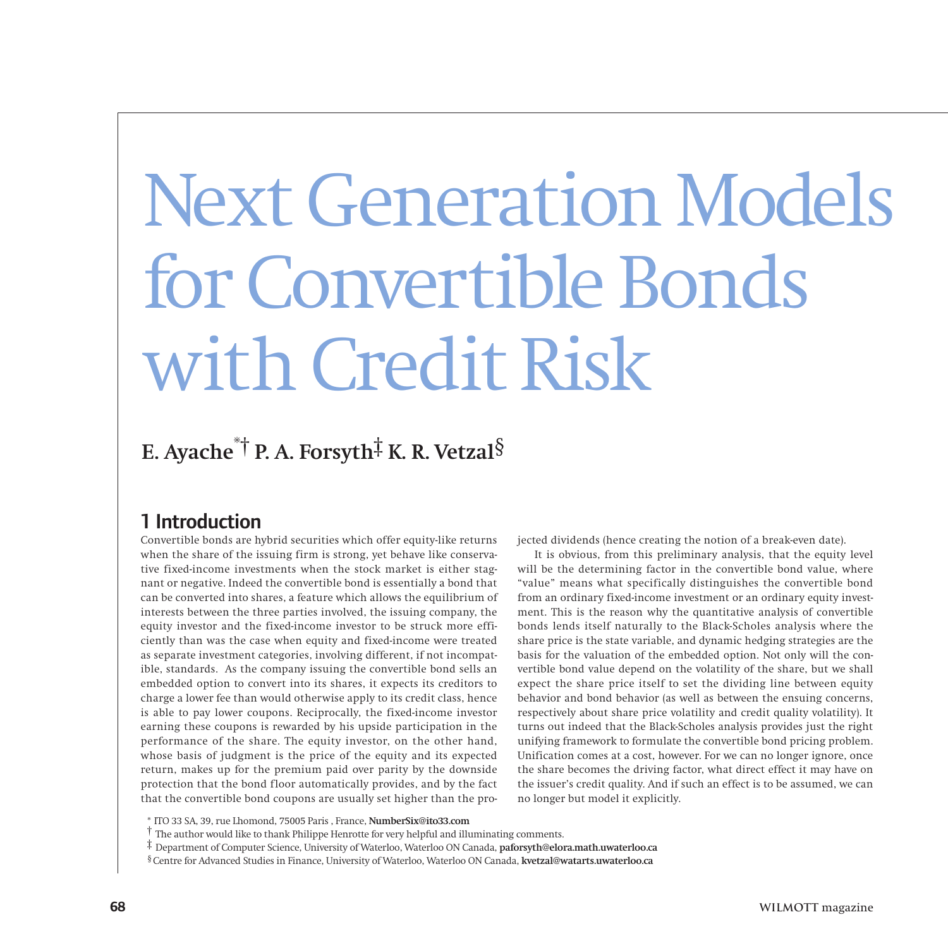# Next Generation Models for Convertible Bonds with Credit Risk

## **E. Ayache**\*† **P. A. Forsyth**‡ **K. R. Vetzal**§

## 1 Introduction

Convertible bonds are hybrid securities which offer equity-like returns when the share of the issuing firm is strong, yet behave like conservative fixed-income investments when the stock market is either stagnant or negative. Indeed the convertible bond is essentially a bond that can be converted into shares, a feature which allows the equilibrium of interests between the three parties involved, the issuing company, the equity investor and the fixed-income investor to be struck more efficiently than was the case when equity and fixed-income were treated as separate investment categories, involving different, if not incompatible, standards. As the company issuing the convertible bond sells an embedded option to convert into its shares, it expects its creditors to charge a lower fee than would otherwise apply to its credit class, hence is able to pay lower coupons. Reciprocally, the fixed-income investor earning these coupons is rewarded by his upside participation in the performance of the share. The equity investor, on the other hand, whose basis of judgment is the price of the equity and its expected return, makes up for the premium paid over parity by the downside protection that the bond floor automatically provides, and by the fact that the convertible bond coupons are usually set higher than the projected dividends (hence creating the notion of a break-even date).

It is obvious, from this preliminary analysis, that the equity level will be the determining factor in the convertible bond value, where "value" means what specifically distinguishes the convertible bond from an ordinary fixed-income investment or an ordinary equity investment. This is the reason why the quantitative analysis of convertible bonds lends itself naturally to the Black-Scholes analysis where the share price is the state variable, and dynamic hedging strategies are the basis for the valuation of the embedded option. Not only will the convertible bond value depend on the volatility of the share, but we shall expect the share price itself to set the dividing line between equity behavior and bond behavior (as well as between the ensuing concerns, respectively about share price volatility and credit quality volatility). It turns out indeed that the Black-Scholes analysis provides just the right unifying framework to formulate the convertible bond pricing problem. Unification comes at a cost, however. For we can no longer ignore, once the share becomes the driving factor, what direct effect it may have on the issuer's credit quality. And if such an effect is to be assumed, we can no longer but model it explicitly.

∗ ITO 33 SA, 39, rue Lhomond, 75005 Paris , France, **NumberSix@ito33.com**

† The author would like to thank Philippe Henrotte for very helpful and illuminating comments.

‡ Department of Computer Science, University of Waterloo, Waterloo ON Canada, **paforsyth@elora.math.uwaterloo.ca**

§ Centre for Advanced Studies in Finance, University of Waterloo, Waterloo ON Canada, **kvetzal@watarts.uwaterloo.ca**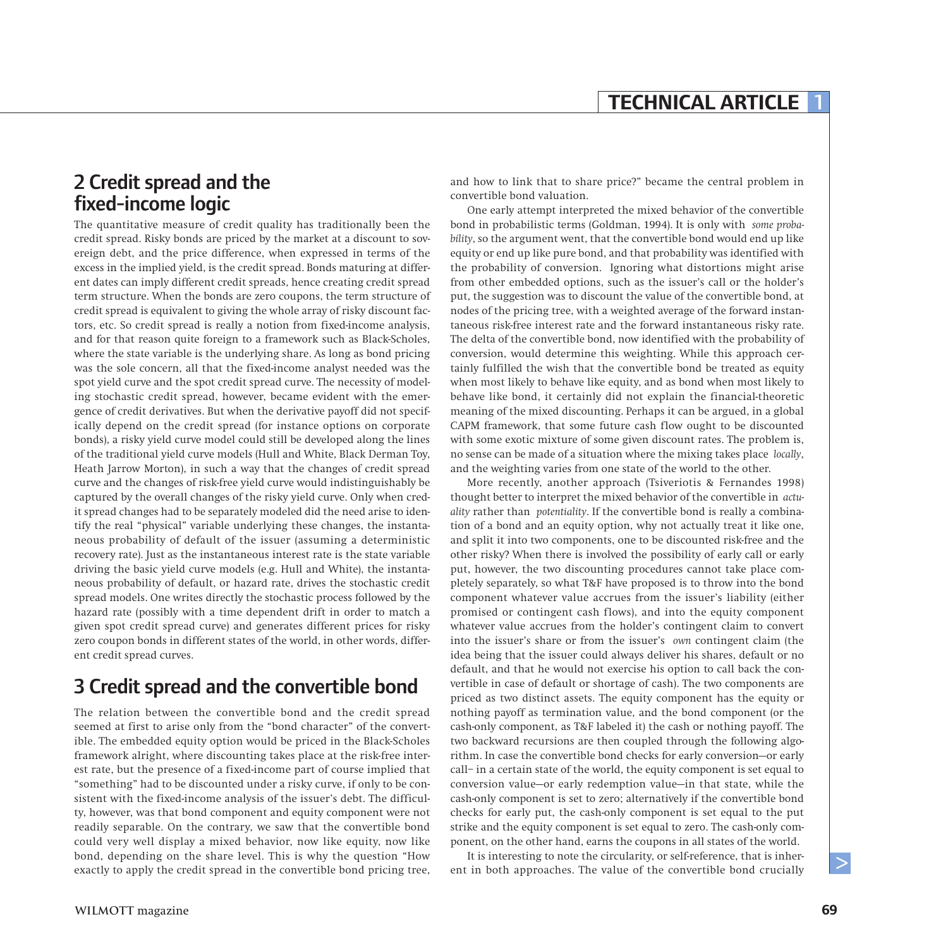## 2 Credit spread and the fixed-income logic

The quantitative measure of credit quality has traditionally been the credit spread. Risky bonds are priced by the market at a discount to sovereign debt, and the price difference, when expressed in terms of the excess in the implied yield, is the credit spread. Bonds maturing at different dates can imply different credit spreads, hence creating credit spread term structure. When the bonds are zero coupons, the term structure of credit spread is equivalent to giving the whole array of risky discount factors, etc. So credit spread is really a notion from fixed-income analysis, and for that reason quite foreign to a framework such as Black-Scholes, where the state variable is the underlying share. As long as bond pricing was the sole concern, all that the fixed-income analyst needed was the spot yield curve and the spot credit spread curve. The necessity of modeling stochastic credit spread, however, became evident with the emergence of credit derivatives. But when the derivative payoff did not specifically depend on the credit spread (for instance options on corporate bonds), a risky yield curve model could still be developed along the lines of the traditional yield curve models (Hull and White, Black Derman Toy, Heath Jarrow Morton), in such a way that the changes of credit spread curve and the changes of risk-free yield curve would indistinguishably be captured by the overall changes of the risky yield curve. Only when credit spread changes had to be separately modeled did the need arise to identify the real "physical" variable underlying these changes, the instantaneous probability of default of the issuer (assuming a deterministic recovery rate). Just as the instantaneous interest rate is the state variable driving the basic yield curve models (e.g. Hull and White), the instantaneous probability of default, or hazard rate, drives the stochastic credit spread models. One writes directly the stochastic process followed by the hazard rate (possibly with a time dependent drift in order to match a given spot credit spread curve) and generates different prices for risky zero coupon bonds in different states of the world, in other words, different credit spread curves.

## 3 Credit spread and the convertible bond

The relation between the convertible bond and the credit spread seemed at first to arise only from the "bond character" of the convertible. The embedded equity option would be priced in the Black-Scholes framework alright, where discounting takes place at the risk-free interest rate, but the presence of a fixed-income part of course implied that "something" had to be discounted under a risky curve, if only to be consistent with the fixed-income analysis of the issuer's debt. The difficulty, however, was that bond component and equity component were not readily separable. On the contrary, we saw that the convertible bond could very well display a mixed behavior, now like equity, now like bond, depending on the share level. This is why the question "How exactly to apply the credit spread in the convertible bond pricing tree,

and how to link that to share price?" became the central problem in convertible bond valuation.

One early attempt interpreted the mixed behavior of the convertible bond in probabilistic terms (Goldman, 1994). It is only with *some probability*, so the argument went, that the convertible bond would end up like equity or end up like pure bond, and that probability was identified with the probability of conversion. Ignoring what distortions might arise from other embedded options, such as the issuer's call or the holder's put, the suggestion was to discount the value of the convertible bond, at nodes of the pricing tree, with a weighted average of the forward instantaneous risk-free interest rate and the forward instantaneous risky rate. The delta of the convertible bond, now identified with the probability of conversion, would determine this weighting. While this approach certainly fulfilled the wish that the convertible bond be treated as equity when most likely to behave like equity, and as bond when most likely to behave like bond, it certainly did not explain the financial-theoretic meaning of the mixed discounting. Perhaps it can be argued, in a global CAPM framework, that some future cash flow ought to be discounted with some exotic mixture of some given discount rates. The problem is, no sense can be made of a situation where the mixing takes place *locally*, and the weighting varies from one state of the world to the other.

More recently, another approach (Tsiveriotis & Fernandes 1998) thought better to interpret the mixed behavior of the convertible in *actuality* rather than *potentiality*. If the convertible bond is really a combination of a bond and an equity option, why not actually treat it like one, and split it into two components, one to be discounted risk-free and the other risky? When there is involved the possibility of early call or early put, however, the two discounting procedures cannot take place completely separately, so what T&F have proposed is to throw into the bond component whatever value accrues from the issuer's liability (either promised or contingent cash flows), and into the equity component whatever value accrues from the holder's contingent claim to convert into the issuer's share or from the issuer's *own* contingent claim (the idea being that the issuer could always deliver his shares, default or no default, and that he would not exercise his option to call back the convertible in case of default or shortage of cash). The two components are priced as two distinct assets. The equity component has the equity or nothing payoff as termination value, and the bond component (or the cash-only component, as T&F labeled it) the cash or nothing payoff. The two backward recursions are then coupled through the following algorithm. In case the convertible bond checks for early conversion—or early call– in a certain state of the world, the equity component is set equal to conversion value—or early redemption value—in that state, while the cash-only component is set to zero; alternatively if the convertible bond checks for early put, the cash-only component is set equal to the put strike and the equity component is set equal to zero. The cash-only component, on the other hand, earns the coupons in all states of the world.

It is interesting to note the circularity, or self-reference, that is inherent in both approaches. The value of the convertible bond crucially

 $\,>$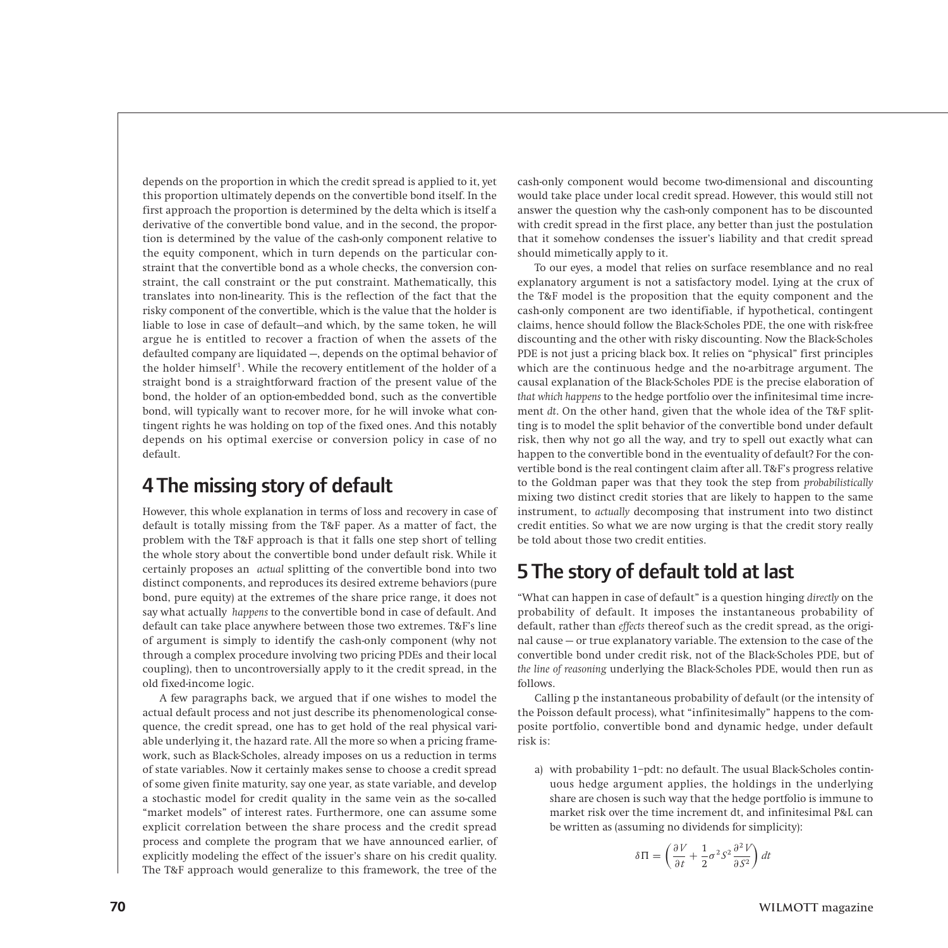depends on the proportion in which the credit spread is applied to it, yet this proportion ultimately depends on the convertible bond itself. In the first approach the proportion is determined by the delta which is itself a derivative of the convertible bond value, and in the second, the proportion is determined by the value of the cash-only component relative to the equity component, which in turn depends on the particular constraint that the convertible bond as a whole checks, the conversion constraint, the call constraint or the put constraint. Mathematically, this translates into non-linearity. This is the reflection of the fact that the risky component of the convertible, which is the value that the holder is liable to lose in case of default—and which, by the same token, he will argue he is entitled to recover a fraction of when the assets of the defaulted company are liquidated —, depends on the optimal behavior of the holder himself<sup>1</sup>. While the recovery entitlement of the holder of a straight bond is a straightforward fraction of the present value of the bond, the holder of an option-embedded bond, such as the convertible bond, will typically want to recover more, for he will invoke what contingent rights he was holding on top of the fixed ones. And this notably depends on his optimal exercise or conversion policy in case of no default.

## 4 The missing story of default

However, this whole explanation in terms of loss and recovery in case of default is totally missing from the T&F paper. As a matter of fact, the problem with the T&F approach is that it falls one step short of telling the whole story about the convertible bond under default risk. While it certainly proposes an *actual* splitting of the convertible bond into two distinct components, and reproduces its desired extreme behaviors (pure bond, pure equity) at the extremes of the share price range, it does not say what actually *happens* to the convertible bond in case of default. And default can take place anywhere between those two extremes. T&F's line of argument is simply to identify the cash-only component (why not through a complex procedure involving two pricing PDEs and their local coupling), then to uncontroversially apply to it the credit spread, in the old fixed-income logic.

A few paragraphs back, we argued that if one wishes to model the actual default process and not just describe its phenomenological consequence, the credit spread, one has to get hold of the real physical variable underlying it, the hazard rate. All the more so when a pricing framework, such as Black-Scholes, already imposes on us a reduction in terms of state variables. Now it certainly makes sense to choose a credit spread of some given finite maturity, say one year, as state variable, and develop a stochastic model for credit quality in the same vein as the so-called "market models" of interest rates. Furthermore, one can assume some explicit correlation between the share process and the credit spread process and complete the program that we have announced earlier, of explicitly modeling the effect of the issuer's share on his credit quality. The T&F approach would generalize to this framework, the tree of the

cash-only component would become two-dimensional and discounting would take place under local credit spread. However, this would still not answer the question why the cash-only component has to be discounted with credit spread in the first place, any better than just the postulation that it somehow condenses the issuer's liability and that credit spread should mimetically apply to it.

To our eyes, a model that relies on surface resemblance and no real explanatory argument is not a satisfactory model. Lying at the crux of the T&F model is the proposition that the equity component and the cash-only component are two identifiable, if hypothetical, contingent claims, hence should follow the Black-Scholes PDE, the one with risk-free discounting and the other with risky discounting. Now the Black-Scholes PDE is not just a pricing black box. It relies on "physical" first principles which are the continuous hedge and the no-arbitrage argument. The causal explanation of the Black-Scholes PDE is the precise elaboration of *that which happens* to the hedge portfolio over the infinitesimal time increment *dt*. On the other hand, given that the whole idea of the T&F splitting is to model the split behavior of the convertible bond under default risk, then why not go all the way, and try to spell out exactly what can happen to the convertible bond in the eventuality of default? For the convertible bond is the real contingent claim after all. T&F's progress relative to the Goldman paper was that they took the step from *probabilistically* mixing two distinct credit stories that are likely to happen to the same instrument, to *actually* decomposing that instrument into two distinct credit entities. So what we are now urging is that the credit story really be told about those two credit entities.

## 5 The story of default told at last

"What can happen in case of default" is a question hinging *directly* on the probability of default. It imposes the instantaneous probability of default, rather than *effects* thereof such as the credit spread, as the original cause — or true explanatory variable. The extension to the case of the convertible bond under credit risk, not of the Black-Scholes PDE, but of *the line of reasoning* underlying the Black-Scholes PDE, would then run as follows.

Calling p the instantaneous probability of default (or the intensity of the Poisson default process), what "infinitesimally" happens to the composite portfolio, convertible bond and dynamic hedge, under default risk is:

a) with probability 1–pdt: no default. The usual Black-Scholes continuous hedge argument applies, the holdings in the underlying share are chosen is such way that the hedge portfolio is immune to market risk over the time increment dt, and infinitesimal P&L can be written as (assuming no dividends for simplicity):

$$
\delta \Pi = \left( \frac{\partial V}{\partial t} + \frac{1}{2} \sigma^2 S^2 \frac{\partial^2 V}{\partial S^2} \right) dt
$$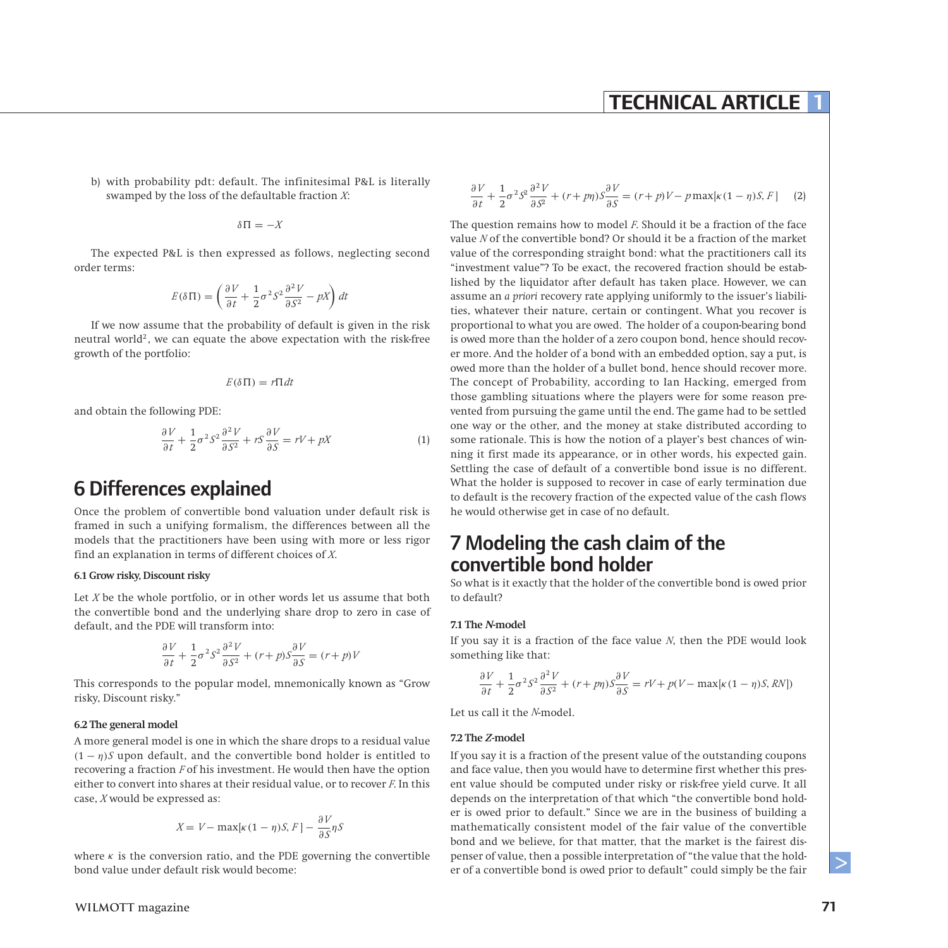b) with probability pdt: default. The infinitesimal P&L is literally swamped by the loss of the defaultable fraction *X*:

 $\delta \Pi = -X$ 

The expected P&L is then expressed as follows, neglecting second order terms:

$$
E(\delta \Pi) = \left(\frac{\partial V}{\partial t} + \frac{1}{2}\sigma^2 S^2 \frac{\partial^2 V}{\partial S^2} - pX\right) dt
$$

If we now assume that the probability of default is given in the risk neutral world<sup>2</sup>, we can equate the above expectation with the risk-free growth of the portfolio:

$$
E(\delta \Pi) = r \Pi dt
$$

and obtain the following PDE:

$$
\frac{\partial V}{\partial t} + \frac{1}{2}\sigma^2 S^2 \frac{\partial^2 V}{\partial S^2} + rS \frac{\partial V}{\partial S} = rV + pX \tag{1}
$$

## 6 Differences explained

Once the problem of convertible bond valuation under default risk is framed in such a unifying formalism, the differences between all the models that the practitioners have been using with more or less rigor find an explanation in terms of different choices of *X*.

#### **6.1 Grow risky, Discount risky**

Let *<sup>X</sup>* be the whole portfolio, or in other words let us assume that both the convertible bond and the underlying share drop to zero in case of default, and the PDE will transform into:

$$
\frac{\partial V}{\partial t} + \frac{1}{2}\sigma^2 S^2 \frac{\partial^2 V}{\partial S^2} + (r+p)S \frac{\partial V}{\partial S} = (r+p)V
$$

This corresponds to the popular model, mnemonically known as "Grow risky, Discount risky."

#### **6.2 The general model**

A more general model is one in which the share drops to a residual value  $(1 - \eta)$ *S* upon default, and the convertible bond holder is entitled to recovering a fraction *<sup>F</sup>* of his investment. He would then have the option either to convert into shares at their residual value, or to recover *F*. In this case, *<sup>X</sup>* would be expressed as:

$$
X = V - \max[\kappa(1 - \eta)S, F] - \frac{\partial V}{\partial S} \eta S
$$

where  $\kappa$  is the conversion ratio, and the PDE governing the convertible bond value under default risk would become:

$$
\frac{\partial V}{\partial t} + \frac{1}{2}\sigma^2 S^2 \frac{\partial^2 V}{\partial S^2} + (r + p\eta)S \frac{\partial V}{\partial S} = (r + p)V - p \max[\kappa(1 - \eta)S, F] \tag{2}
$$

The question remains how to model *F*. Should it be a fraction of the face value *<sup>N</sup>* of the convertible bond? Or should it be a fraction of the market value of the corresponding straight bond: what the practitioners call its "investment value"? To be exact, the recovered fraction should be established by the liquidator after default has taken place. However, we can assume an *a priori* recovery rate applying uniformly to the issuer's liabilities, whatever their nature, certain or contingent. What you recover is proportional to what you are owed. The holder of a coupon-bearing bond is owed more than the holder of a zero coupon bond, hence should recover more. And the holder of a bond with an embedded option, say a put, is owed more than the holder of a bullet bond, hence should recover more. The concept of Probability, according to Ian Hacking, emerged from those gambling situations where the players were for some reason prevented from pursuing the game until the end. The game had to be settled one way or the other, and the money at stake distributed according to some rationale. This is how the notion of a player's best chances of winning it first made its appearance, or in other words, his expected gain. Settling the case of default of a convertible bond issue is no different. What the holder is supposed to recover in case of early termination due to default is the recovery fraction of the expected value of the cash flows he would otherwise get in case of no default.

## 7 Modeling the cash claim of the convertible bond holder

So what is it exactly that the holder of the convertible bond is owed prior to default?

#### **7.1 The N-model**

If you say it is a fraction of the face value *N*, then the PDE would look something like that:

$$
\frac{\partial V}{\partial t} + \frac{1}{2}\sigma^2 S^2 \frac{\partial^2 V}{\partial S^2} + (r + p\eta)S \frac{\partial V}{\partial S} = rV + p(V - \max[\kappa(1 - \eta)S, RN])
$$

Let us call it the *N*-model.

#### **7.2 The Z-model**

If you say it is a fraction of the present value of the outstanding coupons and face value, then you would have to determine first whether this present value should be computed under risky or risk-free yield curve. It all depends on the interpretation of that which "the convertible bond holder is owed prior to default." Since we are in the business of building a mathematically consistent model of the fair value of the convertible bond and we believe, for that matter, that the market is the fairest dispenser of value, then a possible interpretation of "the value that the holder of a convertible bond is owed prior to default" could simply be the fair

 $\geq$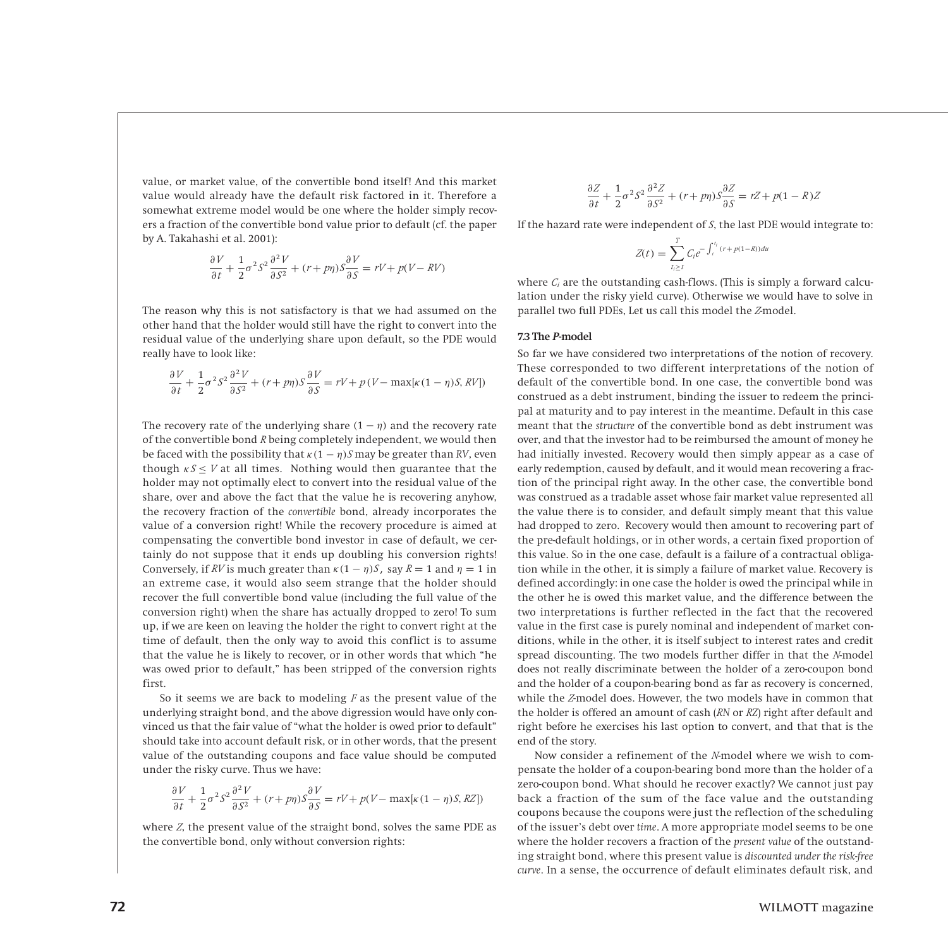value, or market value, of the convertible bond itself! And this market value would already have the default risk factored in it. Therefore a somewhat extreme model would be one where the holder simply recovers a fraction of the convertible bond value prior to default (cf. the paper by A. Takahashi et al. 2001):

$$
\frac{\partial V}{\partial t} + \frac{1}{2}\sigma^2 S^2 \frac{\partial^2 V}{\partial S^2} + (r + p\eta)S \frac{\partial V}{\partial S} = rV + p(V - RV)
$$

The reason why this is not satisfactory is that we had assumed on the other hand that the holder would still have the right to convert into the residual value of the underlying share upon default, so the PDE would really have to look like:

$$
\frac{\partial V}{\partial t} + \frac{1}{2}\sigma^2 S^2 \frac{\partial^2 V}{\partial S^2} + (r + p\eta)S \frac{\partial V}{\partial S} = rV + p(V - \max[\kappa(1 - \eta)S, RV])
$$

The recovery rate of the underlying share  $(1 - \eta)$  and the recovery rate of the convertible bond *<sup>R</sup>* being completely independent, we would then be faced with the possibility that  $\kappa(1 - \eta)S$  may be greater than *RV*, even though  $\kappa S \leq V$  at all times. Nothing would then guarantee that the holder may not optimally elect to convert into the residual value of the share, over and above the fact that the value he is recovering anyhow, the recovery fraction of the *convertible* bond, already incorporates the value of a conversion right! While the recovery procedure is aimed at compensating the convertible bond investor in case of default, we certainly do not suppose that it ends up doubling his conversion rights! Conversely, if *RV* is much greater than  $\kappa(1 - \eta)S$ , say  $R = 1$  and  $\eta = 1$  in an extreme case, it would also seem strange that the holder should recover the full convertible bond value (including the full value of the conversion right) when the share has actually dropped to zero! To sum up, if we are keen on leaving the holder the right to convert right at the time of default, then the only way to avoid this conflict is to assume that the value he is likely to recover, or in other words that which "he was owed prior to default," has been stripped of the conversion rights first.

So it seems we are back to modeling *<sup>F</sup>* as the present value of the underlying straight bond, and the above digression would have only convinced us that the fair value of "what the holder is owed prior to default" should take into account default risk, or in other words, that the present value of the outstanding coupons and face value should be computed under the risky curve. Thus we have:

$$
\frac{\partial V}{\partial t} + \frac{1}{2}\sigma^2 S^2 \frac{\partial^2 V}{\partial S^2} + (r + p\eta)S \frac{\partial V}{\partial S} = rV + p(V - \max[\kappa(1 - \eta)S, RZ])
$$

where *Z*, the present value of the straight bond, solves the same PDE as the convertible bond, only without conversion rights:

$$
\frac{\partial Z}{\partial t} + \frac{1}{2}\sigma^2 S^2 \frac{\partial^2 Z}{\partial S^2} + (r + p\eta)S \frac{\partial Z}{\partial S} = rZ + p(1 - R)Z
$$

If the hazard rate were independent of *S*, the last PDE would integrate to:

$$
Z(t) = \sum_{t_i \ge t}^{T} C_i e^{-\int_t^{t_i} (r + p(1-R)) du}
$$

where  $C_i$  are the outstanding cash-flows. (This is simply a forward calculation under the risky yield curve). Otherwise we would have to solve in parallel two full PDEs, Let us call this model the *Z*-model.

#### **7.3 The P-model**

So far we have considered two interpretations of the notion of recovery. These corresponded to two different interpretations of the notion of default of the convertible bond. In one case, the convertible bond was construed as a debt instrument, binding the issuer to redeem the principal at maturity and to pay interest in the meantime. Default in this case meant that the *structure* of the convertible bond as debt instrument was over, and that the investor had to be reimbursed the amount of money he had initially invested. Recovery would then simply appear as a case of early redemption, caused by default, and it would mean recovering a fraction of the principal right away. In the other case, the convertible bond was construed as a tradable asset whose fair market value represented all the value there is to consider, and default simply meant that this value had dropped to zero. Recovery would then amount to recovering part of the pre-default holdings, or in other words, a certain fixed proportion of this value. So in the one case, default is a failure of a contractual obligation while in the other, it is simply a failure of market value. Recovery is defined accordingly: in one case the holder is owed the principal while in the other he is owed this market value, and the difference between the two interpretations is further reflected in the fact that the recovered value in the first case is purely nominal and independent of market conditions, while in the other, it is itself subject to interest rates and credit spread discounting. The two models further differ in that the *N*-model does not really discriminate between the holder of a zero-coupon bond and the holder of a coupon-bearing bond as far as recovery is concerned, while the *Z*-model does. However, the two models have in common that the holder is offered an amount of cash (*RN* or *RZ*) right after default and right before he exercises his last option to convert, and that that is the end of the story.

Now consider a refinement of the *N*-model where we wish to compensate the holder of a coupon-bearing bond more than the holder of a zero-coupon bond. What should he recover exactly? We cannot just pay back a fraction of the sum of the face value and the outstanding coupons because the coupons were just the reflection of the scheduling of the issuer's debt over *time*. A more appropriate model seems to be one where the holder recovers a fraction of the *present value* of the outstanding straight bond, where this present value is *discounted under the risk-free curve*. In a sense, the occurrence of default eliminates default risk, and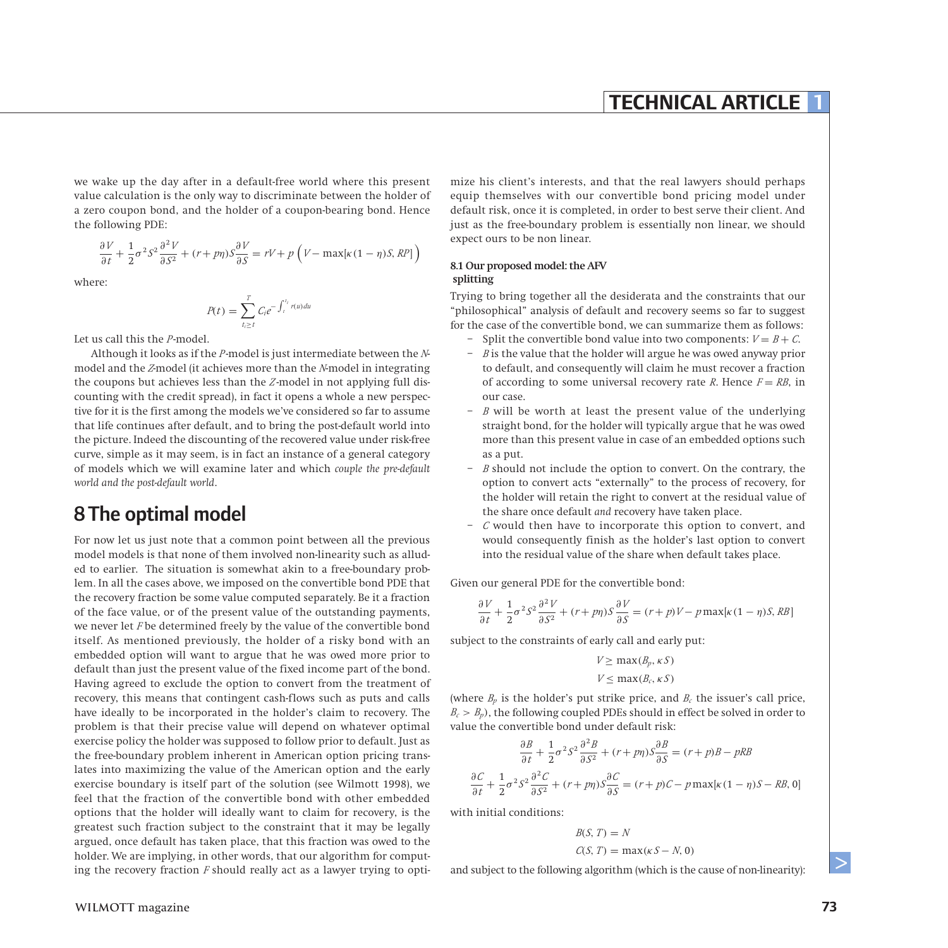we wake up the day after in a default-free world where this present value calculation is the only way to discriminate between the holder of a zero coupon bond, and the holder of a coupon-bearing bond. Hence the following PDE:

$$
\frac{\partial V}{\partial t} + \frac{1}{2}\sigma^2 S^2 \frac{\partial^2 V}{\partial S^2} + (r + p\eta)S \frac{\partial V}{\partial S} = rV + p\left(V - \max[\kappa(1 - \eta)S, RP]\right)
$$

where:

$$
P(t) = \sum_{t_i \geq t}^T C_i e^{-\int_t^{t_i} r(u) du}
$$

Let us call this the *P*-model.

Although it looks as if the *<sup>P</sup>* -model is just intermediate between the *N*model and the *Z*-model (it achieves more than the *N*-model in integrating the coupons but achieves less than the *<sup>Z</sup>* -model in not applying full discounting with the credit spread), in fact it opens a whole a new perspective for it is the first among the models we've considered so far to assume that life continues after default, and to bring the post-default world into the picture. Indeed the discounting of the recovered value under risk-free curve, simple as it may seem, is in fact an instance of a general category of models which we will examine later and which *couple the pre-default world and the post-default world*.

## 8 The optimal model

For now let us just note that a common point between all the previous model models is that none of them involved non-linearity such as alluded to earlier. The situation is somewhat akin to a free-boundary problem. In all the cases above, we imposed on the convertible bond PDE that the recovery fraction be some value computed separately. Be it a fraction of the face value, or of the present value of the outstanding payments, we never let *<sup>F</sup>* be determined freely by the value of the convertible bond itself. As mentioned previously, the holder of a risky bond with an embedded option will want to argue that he was owed more prior to default than just the present value of the fixed income part of the bond. Having agreed to exclude the option to convert from the treatment of recovery, this means that contingent cash-flows such as puts and calls have ideally to be incorporated in the holder's claim to recovery. The problem is that their precise value will depend on whatever optimal exercise policy the holder was supposed to follow prior to default. Just as the free-boundary problem inherent in American option pricing translates into maximizing the value of the American option and the early exercise boundary is itself part of the solution (see Wilmott 1998), we feel that the fraction of the convertible bond with other embedded options that the holder will ideally want to claim for recovery, is the greatest such fraction subject to the constraint that it may be legally argued, once default has taken place, that this fraction was owed to the holder. We are implying, in other words, that our algorithm for computing the recovery fraction *<sup>F</sup>* should really act as a lawyer trying to optimize his client's interests, and that the real lawyers should perhaps equip themselves with our convertible bond pricing model under default risk, once it is completed, in order to best serve their client. And just as the free-boundary problem is essentially non linear, we should expect ours to be non linear.

#### **8.1 Our proposed model: the AFV splitting**

Trying to bring together all the desiderata and the constraints that our "philosophical" analysis of default and recovery seems so far to suggest for the case of the convertible bond, we can summarize them as follows:

- Split the convertible bond value into two components:  $V = B + C$ .
- *<sup>B</sup>* is the value that the holder will argue he was owed anyway prior to default, and consequently will claim he must recover a fraction of according to some universal recovery rate *R*. Hence  $F = RB$ , in our case.
- *<sup>B</sup>* will be worth at least the present value of the underlying straight bond, for the holder will typically argue that he was owed more than this present value in case of an embedded options such as a put.
- *<sup>B</sup>* should not include the option to convert. On the contrary, the option to convert acts "externally" to the process of recovery, for the holder will retain the right to convert at the residual value of the share once default *and* recovery have taken place.
- *<sup>C</sup>* would then have to incorporate this option to convert, and would consequently finish as the holder's last option to convert into the residual value of the share when default takes place.

Given our general PDE for the convertible bond:

$$
\frac{\partial V}{\partial t} + \frac{1}{2}\sigma^2 S^2 \frac{\partial^2 V}{\partial S^2} + (r + p\eta)S \frac{\partial V}{\partial S} = (r + p)V - p \max[\kappa (1 - \eta)S, RB]
$$

subject to the constraints of early call and early put:

$$
V \ge \max(B_p, \kappa S)
$$

$$
V \le \max(B_c, \kappa S)
$$

(where  $B<sub>p</sub>$  is the holder's put strike price, and  $B<sub>c</sub>$  the issuer's call price,  $B_c > B_p$ , the following coupled PDEs should in effect be solved in order to value the convertible bond under default risk:

$$
\frac{\partial B}{\partial t} + \frac{1}{2}\sigma^2 S^2 \frac{\partial^2 B}{\partial S^2} + (r + p\eta)S \frac{\partial B}{\partial S} = (r + p)B - pRB
$$

$$
\frac{\partial C}{\partial t} + \frac{1}{2}\sigma^2 S^2 \frac{\partial^2 C}{\partial S^2} + (r + p\eta)S \frac{\partial C}{\partial S} = (r + p)C - p \max[\kappa(1 - \eta)S - RB, 0]
$$

with initial conditions:

$$
B(S, T) = N
$$
  
C(S, T) = max( $\kappa S - N$ , 0)

and subject to the following algorithm (which is the cause of non-linearity):

 $\geq$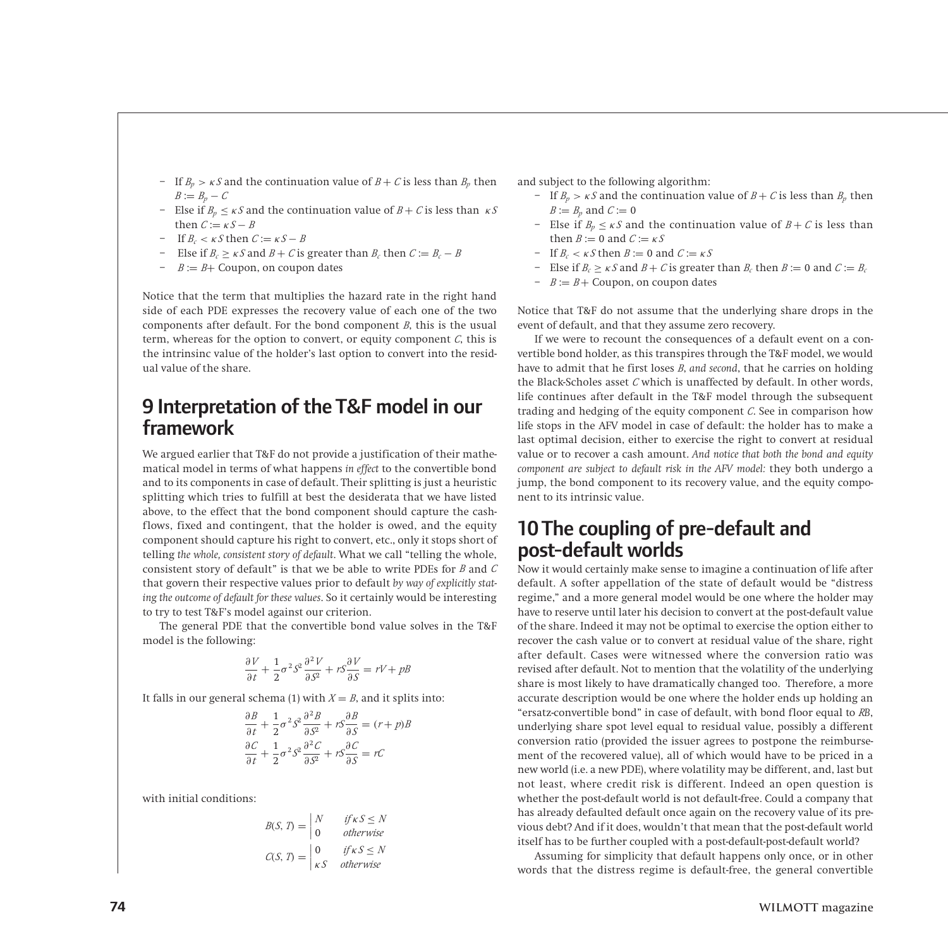- If  $B_p > \kappa S$  and the continuation value of  $B + C$  is less than  $B_p$  then  $B := B_n - C$
- Else if *<sup>B</sup><sup>p</sup>* ≤ *κ<sup>S</sup>* and the continuation value of *<sup>B</sup>* + *<sup>C</sup>* is less than *κ<sup>S</sup>* then  $C := \kappa S - B$
- If  $B_c < \kappa S$  then  $C := \kappa S B$
- Else if  $B_c \ge \kappa S$  and  $B + C$  is greater than  $B_c$  then  $C := B_c B$
- $B := B +$  Coupon, on coupon dates

Notice that the term that multiplies the hazard rate in the right hand side of each PDE expresses the recovery value of each one of the two components after default. For the bond component *B*, this is the usual term, whereas for the option to convert, or equity component *C*, this is the intrinsinc value of the holder's last option to convert into the residual value of the share.

## 9 Interpretation of the T&F model in our framework

We argued earlier that T&F do not provide a justification of their mathematical model in terms of what happens *in effect* to the convertible bond and to its components in case of default. Their splitting is just a heuristic splitting which tries to fulfill at best the desiderata that we have listed above, to the effect that the bond component should capture the cashflows, fixed and contingent, that the holder is owed, and the equity component should capture his right to convert, etc., only it stops short of telling *the whole, consistent story of default*. What we call "telling the whole, consistent story of default" is that we be able to write PDEs for *<sup>B</sup>* and *<sup>C</sup>* that govern their respective values prior to default *by way of explicitly stating the outcome of default for these values*. So it certainly would be interesting to try to test T&F's model against our criterion.

The general PDE that the convertible bond value solves in the T&F model is the following:

$$
\frac{\partial V}{\partial t} + \frac{1}{2}\sigma^2 S^2 \frac{\partial^2 V}{\partial S^2} + rS \frac{\partial V}{\partial S} = rV + pB
$$

It falls in our general schema (1) with  $X = B$ , and it splits into:

$$
\frac{\partial B}{\partial t} + \frac{1}{2}\sigma^2 S^2 \frac{\partial^2 B}{\partial S^2} + rS \frac{\partial B}{\partial S} = (r+p)B
$$
  

$$
\frac{\partial C}{\partial t} + \frac{1}{2}\sigma^2 S^2 \frac{\partial^2 C}{\partial S^2} + rS \frac{\partial C}{\partial S} = rC
$$

with initial conditions:

$$
B(S, T) = \begin{vmatrix} N & if \kappa S \le N \\ 0 & otherwise \end{vmatrix}
$$
  

$$
C(S, T) = \begin{vmatrix} 0 & if \kappa S \le N \\ \kappa S & otherwise \end{vmatrix}
$$

and subject to the following algorithm:

- If  $B_p > \kappa S$  and the continuation value of  $B + C$  is less than  $B_p$  then  $B := B_n$  and  $C := 0$
- Else if  $B_p \le \kappa S$  and the continuation value of  $B + C$  is less than then *B* := 0 and  $C$  :=  $\kappa S$
- $-I$  If  $B_c < \kappa S$  then  $B := 0$  and  $C := \kappa S$
- Else if *<sup>B</sup><sup>c</sup>* ≥ *κ<sup>S</sup>* and *<sup>B</sup>* + *<sup>C</sup>* is greater than *<sup>B</sup><sup>c</sup>* then *<sup>B</sup>* := 0 and *<sup>C</sup>* := *<sup>B</sup><sup>c</sup>*
- $B := B + \text{Coupon, on coupon dates}$

Notice that T&F do not assume that the underlying share drops in the event of default, and that they assume zero recovery.

If we were to recount the consequences of a default event on a convertible bond holder, as this transpires through the T&F model, we would have to admit that he first loses *B*, *and second*, that he carries on holding the Black-Scholes asset *<sup>C</sup>* which is unaffected by default. In other words, life continues after default in the T&F model through the subsequent trading and hedging of the equity component *C*. See in comparison how life stops in the AFV model in case of default: the holder has to make a last optimal decision, either to exercise the right to convert at residual value or to recover a cash amount. *And notice that both the bond and equity component are subject to default risk in the AFV model:* they both undergo a jump, the bond component to its recovery value, and the equity component to its intrinsic value.

## 10 The coupling of pre-default and post-default worlds

Now it would certainly make sense to imagine a continuation of life after default. A softer appellation of the state of default would be "distress regime," and a more general model would be one where the holder may have to reserve until later his decision to convert at the post-default value of the share. Indeed it may not be optimal to exercise the option either to recover the cash value or to convert at residual value of the share, right after default. Cases were witnessed where the conversion ratio was revised after default. Not to mention that the volatility of the underlying share is most likely to have dramatically changed too. Therefore, a more accurate description would be one where the holder ends up holding an "ersatz-convertible bond" in case of default, with bond floor equal to *RB*, underlying share spot level equal to residual value, possibly a different conversion ratio (provided the issuer agrees to postpone the reimbursement of the recovered value), all of which would have to be priced in a new world (i.e. a new PDE), where volatility may be different, and, last but not least, where credit risk is different. Indeed an open question is whether the post-default world is not default-free. Could a company that has already defaulted default once again on the recovery value of its previous debt? And if it does, wouldn't that mean that the post-default world itself has to be further coupled with a post-default-post-default world?

Assuming for simplicity that default happens only once, or in other words that the distress regime is default-free, the general convertible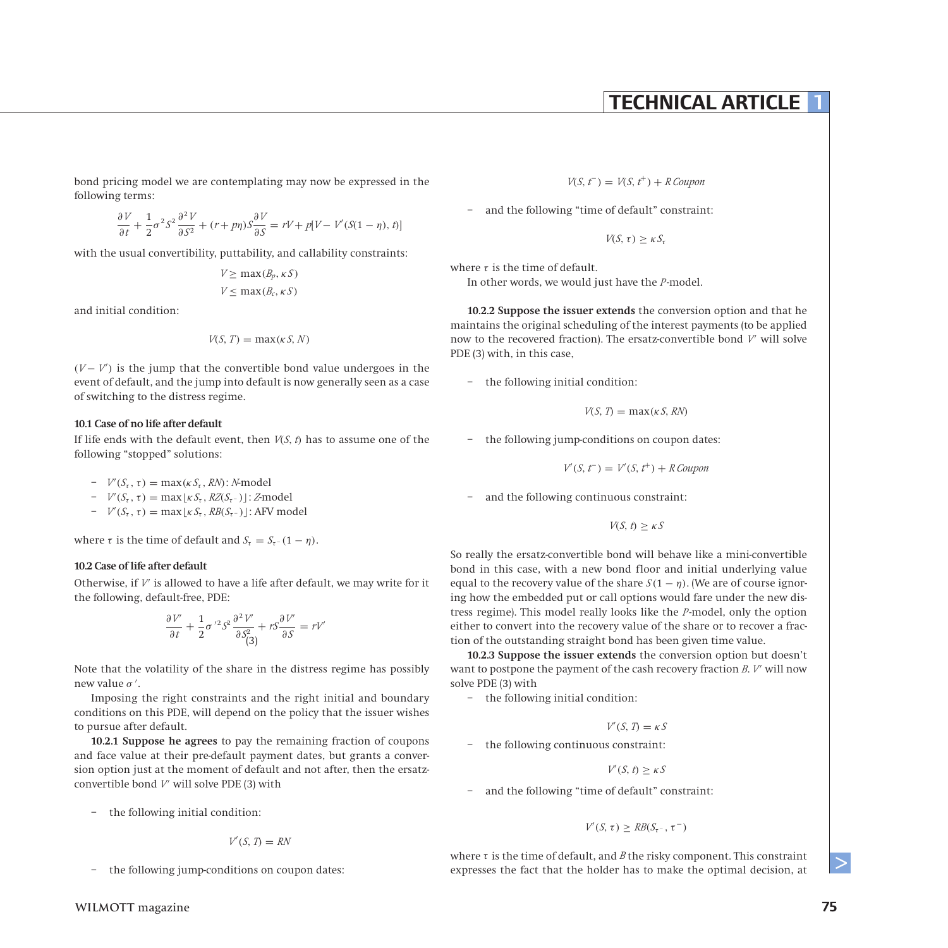bond pricing model we are contemplating may now be expressed in the following terms:

$$
\frac{\partial V}{\partial t} + \frac{1}{2}\sigma^2 S^2 \frac{\partial^2 V}{\partial S^2} + (r + p\eta)S \frac{\partial V}{\partial S} = rV + p[V - V'(S(1 - \eta), t)]
$$

with the usual convertibility, puttability, and callability constraints:

$$
V \ge \max(B_p, \kappa S)
$$
  

$$
V \le \max(B_c, \kappa S)
$$

and initial condition:

$$
V(S, T) = \max(\kappa S, N)
$$

*(<sup>V</sup>* − *<sup>V</sup> )* is the jump that the convertible bond value undergoes in the event of default, and the jump into default is now generally seen as a case of switching to the distress regime.

#### **10.1 Case of no life after default**

If life ends with the default event, then *V(S, <sup>t</sup>)* has to assume one of the following "stopped" solutions:

– *<sup>V</sup> (<sup>S</sup><sup>τ</sup> ,τ)* = max*(κ<sup>S</sup><sup>τ</sup> , RN)*: *N*-model

– *<sup>V</sup> (<sup>S</sup><sup>τ</sup> ,τ)* = max *κ<sup>S</sup><sup>τ</sup> , RZ(<sup>S</sup><sup>τ</sup>* <sup>−</sup> *)* : *Z*-model

 $-V'(S_{τ}, τ) = max[κ S_{τ}, RB(S_{τ}-)]$ : AFV model

where  $\tau$  is the time of default and  $S_{\tau} = S_{\tau} - (1 - \eta)$ .

#### **10.2 Case of life after default**

Otherwise, if *V* is allowed to have a life after default, we may write for it the following, default-free, PDE:

$$
\frac{\partial V'}{\partial t} + \frac{1}{2}\sigma^{\prime 2}S^2 \frac{\partial^2 V'}{\partial S^2}
$$

Note that the volatility of the share in the distress regime has possibly new value *σ* .

Imposing the right constraints and the right initial and boundary conditions on this PDE, will depend on the policy that the issuer wishes to pursue after default.

**10.2.1 Suppose he agrees** to pay the remaining fraction of coupons and face value at their pre-default payment dates, but grants a conversion option just at the moment of default and not after, then the ersatzconvertible bond *V* will solve PDE (3) with

– the following initial condition:

 $V'(S, T) = RN$ 

– the following jump-conditions on coupon dates:

 $V(S, t^-) = V(S, t^+) + R$  *Coupon* 

– and the following "time of default" constraint:

 $V(S, \tau) \geq \kappa S_{\tau}$ 

where  $\tau$  is the time of default. In other words, we would just have the *<sup>P</sup>* -model.

**10.2.2 Suppose the issuer extends** the conversion option and that he maintains the original scheduling of the interest payments (to be applied now to the recovered fraction). The ersatz-convertible bond *V* will solve PDE (3) with, in this case,

– the following initial condition:

 $V(S, T) = \max(kS, RN)$ 

– the following jump-conditions on coupon dates:

$$
V'(S, t^-) = V'(S, t^+) + R \text{Coupon}
$$

– and the following continuous constraint:

 $V(S, t) \geq \kappa S$ 

So really the ersatz-convertible bond will behave like a mini-convertible bond in this case, with a new bond floor and initial underlying value equal to the recovery value of the share  $S(1 - \eta)$ . (We are of course ignoring how the embedded put or call options would fare under the new distress regime). This model really looks like the *P*-model, only the option either to convert into the recovery value of the share or to recover a fraction of the outstanding straight bond has been given time value.

**10.2.3 Suppose the issuer extends** the conversion option but doesn't want to postpone the payment of the cash recovery fraction *B*. *V* will now solve PDE (3) with

– the following initial condition:

 $V'(S, T) = \kappa S$ 

– the following continuous constraint:

 $V'(S, t) \geq \kappa S$ 

– and the following "time of default" constraint:

$$
V'(S,\tau)\geq \text{RB}(S_{\tau^-},\tau^-)
$$

where  $\tau$  is the time of default, and  $B$  the risky component. This constraint expresses the fact that the holder has to make the optimal decision, at

 $\geq$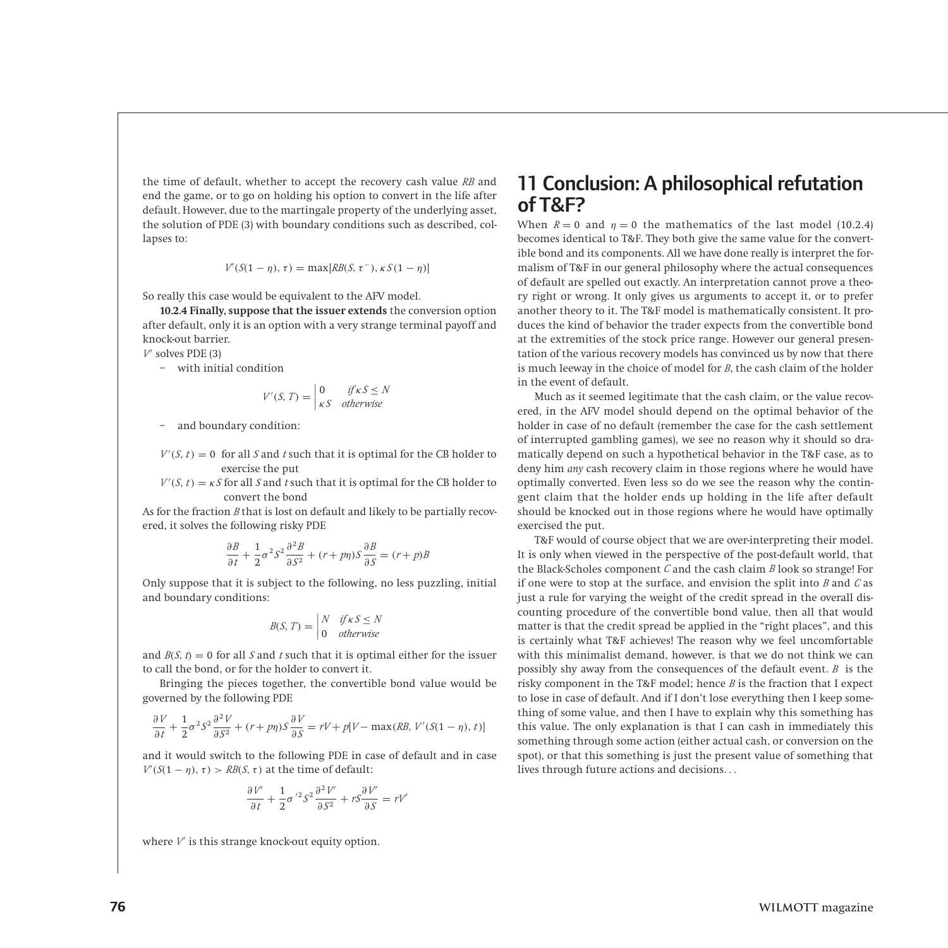the time of default, whether to accept the recovery cash value *RB* and end the game, or to go on holding his option to convert in the life after default. However, due to the martingale property of the underlying asset, the solution of PDE (3) with boundary conditions such as described, collapses to:

$$
V'(S(1-\eta), \tau) = \max[RB(S, \tau^-), \kappa S(1-\eta)]
$$

So really this case would be equivalent to the AFV model.

**10.2.4 Finally, suppose that the issuer extends** the conversion option after default, only it is an option with a very strange terminal payoff and knock-out barrier.

*<sup>V</sup>* solves PDE (3)

– with initial condition

$$
V'(S, T) = \begin{vmatrix} 0 & if \kappa S \le N \\ \kappa S & otherwise \end{vmatrix}
$$

- and boundary condition:
- $V'(S, t) = 0$  for all *S* and *t* such that it is optimal for the CB holder to exercise the put
- $V'(S, t) = \kappa S$  for all *S* and *t* such that it is optimal for the CB holder to convert the bond

As for the fraction *<sup>B</sup>* that is lost on default and likely to be partially recovered, it solves the following risky PDE

$$
\frac{\partial B}{\partial t} + \frac{1}{2}\sigma^2 S^2 \frac{\partial^2 B}{\partial S^2} + (r + p\eta)S \frac{\partial B}{\partial S} = (r + p)B
$$

Only suppose that it is subject to the following, no less puzzling, initial and boundary conditions:

$$
B(S, T) = \begin{vmatrix} N & \text{if } \kappa S \le N \\ 0 & \text{otherwise} \end{vmatrix}
$$

and  $B(S, t) = 0$  for all *S* and *t* such that it is optimal either for the issuer to call the bond, or for the holder to convert it.

Bringing the pieces together, the convertible bond value would be governed by the following PDE

$$
\frac{\partial V}{\partial t} + \frac{1}{2}\sigma^2 S^2 \frac{\partial^2 V}{\partial S^2} + (r + p\eta)S \frac{\partial V}{\partial S} = rV + p[V - \max(RB, V'(S(1 - \eta), t))]
$$

and it would switch to the following PDE in case of default and in case  $V'(S(1 - \eta), \tau) > RB(S, \tau)$  at the time of default:

$$
\frac{\partial V'}{\partial t} + \frac{1}{2}\sigma'^2 S^2 \frac{\partial^2 V'}{\partial S^2} + rS \frac{\partial V'}{\partial S} = rV'
$$

where *V*' is this strange knock-out equity option.

## 11 Conclusion: A philosophical refutation of T&F?

When  $R = 0$  and  $\eta = 0$  the mathematics of the last model (10.2.4) becomes identical to T&F. They both give the same value for the convertible bond and its components. All we have done really is interpret the formalism of T&F in our general philosophy where the actual consequences of default are spelled out exactly. An interpretation cannot prove a theory right or wrong. It only gives us arguments to accept it, or to prefer another theory to it. The T&F model is mathematically consistent. It produces the kind of behavior the trader expects from the convertible bond at the extremities of the stock price range. However our general presentation of the various recovery models has convinced us by now that there is much leeway in the choice of model for *B*, the cash claim of the holder in the event of default.

Much as it seemed legitimate that the cash claim, or the value recovered, in the AFV model should depend on the optimal behavior of the holder in case of no default (remember the case for the cash settlement of interrupted gambling games), we see no reason why it should so dramatically depend on such a hypothetical behavior in the T&F case, as to deny him *any* cash recovery claim in those regions where he would have optimally converted. Even less so do we see the reason why the contingent claim that the holder ends up holding in the life after default should be knocked out in those regions where he would have optimally exercised the put.

T&F would of course object that we are over-interpreting their model. It is only when viewed in the perspective of the post-default world, that the Black-Scholes component *<sup>C</sup>* and the cash claim *<sup>B</sup>* look so strange! For if one were to stop at the surface, and envision the split into *<sup>B</sup>* and *<sup>C</sup>* as just a rule for varying the weight of the credit spread in the overall discounting procedure of the convertible bond value, then all that would matter is that the credit spread be applied in the "right places", and this is certainly what T&F achieves! The reason why we feel uncomfortable with this minimalist demand, however, is that we do not think we can possibly shy away from the consequences of the default event. *<sup>B</sup>* is the risky component in the T&F model; hence *<sup>B</sup>* is the fraction that I expect to lose in case of default. And if I don't lose everything then I keep something of some value, and then I have to explain why this something has this value. The only explanation is that I can cash in immediately this something through some action (either actual cash, or conversion on the spot), or that this something is just the present value of something that lives through future actions and decisions*...*